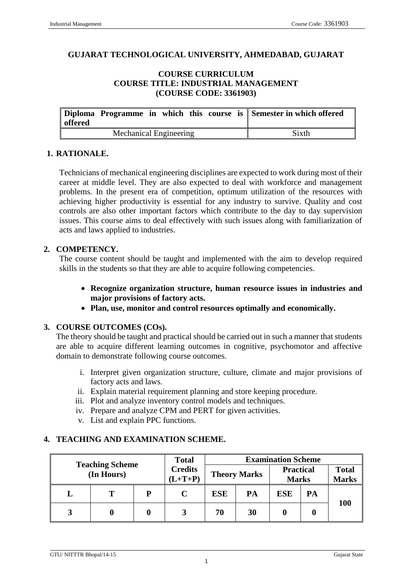#### **GUJARAT TECHNOLOGICAL UNIVERSITY, AHMEDABAD, GUJARAT**

#### **COURSE CURRICULUM COURSE TITLE: INDUSTRIAL MANAGEMENT (COURSE CODE: 3361903)**

| offered |                        |  |  | Diploma Programme in which this course is Semester in which offered |
|---------|------------------------|--|--|---------------------------------------------------------------------|
|         | Mechanical Engineering |  |  | Sixth                                                               |

#### **1. RATIONALE.**

Technicians of mechanical engineering disciplines are expected to work during most of their career at middle level. They are also expected to deal with workforce and management problems. In the present era of competition, optimum utilization of the resources with achieving higher productivity is essential for any industry to survive. Quality and cost controls are also other important factors which contribute to the day to day supervision issues. This course aims to deal effectively with such issues along with familiarization of acts and laws applied to industries.

#### **2. COMPETENCY.**

The course content should be taught and implemented with the aim to develop required skills in the students so that they are able to acquire following competencies.

- **Recognize organization structure, human resource issues in industries and major provisions of factory acts.**
- **Plan, use, monitor and control resources optimally and economically.**

### **3. COURSE OUTCOMES (COs).**

The theory should be taught and practical should be carried out in such a manner that students are able to acquire different learning outcomes in cognitive, psychomotor and affective domain to demonstrate following course outcomes.

- i. Interpret given organization structure, culture, climate and major provisions of factory acts and laws.
- ii. Explain material requirement planning and store keeping procedure.
- iii. Plot and analyze inventory control models and techniques.
- iv. Prepare and analyze CPM and PERT for given activities.
- v. List and explain PPC functions.

#### **4. TEACHING AND EXAMINATION SCHEME.**

|                                      |   |                             | <b>Total</b> | <b>Examination Scheme</b> |                                  |            |                              |            |
|--------------------------------------|---|-----------------------------|--------------|---------------------------|----------------------------------|------------|------------------------------|------------|
| <b>Teaching Scheme</b><br>(In Hours) |   | <b>Credits</b><br>$(L+T+P)$ |              | <b>Theory Marks</b>       | <b>Practical</b><br><b>Marks</b> |            | <b>Total</b><br><b>Marks</b> |            |
|                                      | т |                             |              | <b>ESE</b>                | PA                               | <b>ESE</b> | PA                           |            |
|                                      |   |                             |              | 70                        | 30                               |            |                              | <b>100</b> |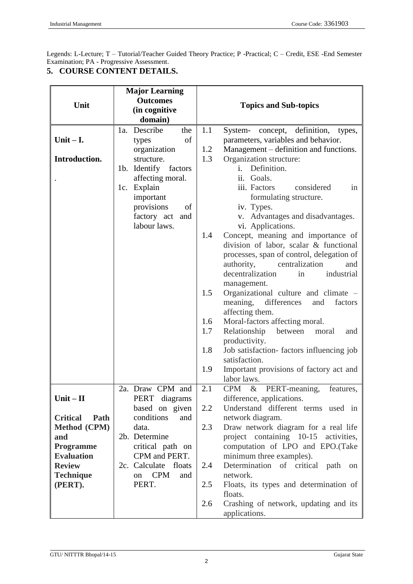Legends: L-Lecture; T – Tutorial/Teacher Guided Theory Practice; P -Practical; C – Credit, ESE -End Semester Examination; PA - Progressive Assessment.

| 5. COURSE CONTENT DETAILS. |  |
|----------------------------|--|
|----------------------------|--|

|                         | <b>Major Learning</b>   |     |                                                  |
|-------------------------|-------------------------|-----|--------------------------------------------------|
|                         | <b>Outcomes</b>         |     |                                                  |
| Unit                    | (in cognitive           |     | <b>Topics and Sub-topics</b>                     |
|                         | domain)                 |     |                                                  |
|                         | Describe<br>the<br>1a.  | 1.1 | definition,<br>System-<br>concept,<br>types,     |
| Unit $- I$ .            | of<br>types             |     | parameters, variables and behavior.              |
|                         | organization            | 1.2 | Management – definition and functions.           |
| Introduction.           | structure.              | 1.3 | Organization structure:                          |
|                         | 1b. Identify factors    |     | Definition.<br>i.                                |
|                         | affecting moral.        |     | ii. Goals.                                       |
|                         | 1c. Explain             |     | iii. Factors<br>considered<br>in                 |
|                         | important               |     | formulating structure.                           |
|                         | provisions<br>of        |     | iv. Types.                                       |
|                         | factory act and         |     | v. Advantages and disadvantages.                 |
|                         | labour laws.            |     | vi. Applications.                                |
|                         |                         | 1.4 | Concept, meaning and importance of               |
|                         |                         |     | division of labor, scalar & functional           |
|                         |                         |     | processes, span of control, delegation of        |
|                         |                         |     | centralization<br>authority,<br>and              |
|                         |                         |     | decentralization<br>industrial<br>in             |
|                         |                         |     | management.                                      |
|                         |                         | 1.5 | Organizational culture and climate -             |
|                         |                         |     | meaning,<br>differences<br>factors<br>and        |
|                         |                         |     | affecting them.                                  |
|                         |                         | 1.6 | Moral-factors affecting moral.                   |
|                         |                         | 1.7 | Relationship<br>between<br>moral<br>and          |
|                         |                         |     | productivity.                                    |
|                         |                         | 1.8 | Job satisfaction- factors influencing job        |
|                         |                         |     | satisfaction.                                    |
|                         |                         | 1.9 | Important provisions of factory act and          |
|                         |                         |     | labor laws.                                      |
|                         | 2a. Draw CPM and        | 2.1 | $\&$<br>PERT-meaning,<br><b>CPM</b><br>features, |
| $Unit - II$             | PERT diagrams           |     | difference, applications.                        |
|                         | based on given          | 2.2 | Understand different terms used in               |
| <b>Critical</b><br>Path | conditions<br>and       |     | network diagram.                                 |
| <b>Method</b> (CPM)     | data.                   | 2.3 | Draw network diagram for a real life             |
| and                     | 2b. Determine           |     | project containing 10-15 activities,             |
| <b>Programme</b>        | critical path on        |     | computation of LPO and EPO.(Take                 |
| <b>Evaluation</b>       | CPM and PERT.           |     | minimum three examples).                         |
| <b>Review</b>           | 2c. Calculate floats    | 2.4 | Determination of critical path<br>on             |
| <b>Technique</b>        | <b>CPM</b><br>and<br>on |     | network.                                         |
| (PERT).                 | PERT.                   | 2.5 | Floats, its types and determination of           |
|                         |                         |     | floats.                                          |
|                         |                         | 2.6 | Crashing of network, updating and its            |
|                         |                         |     | applications.                                    |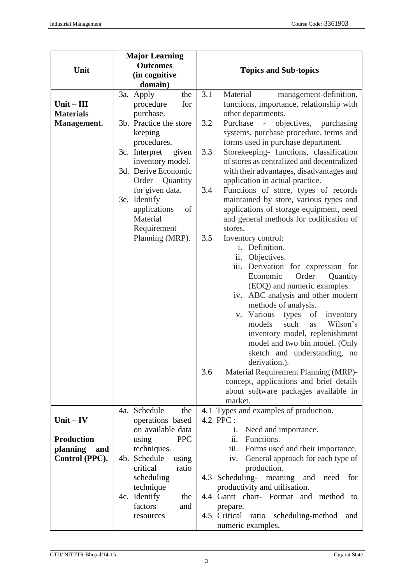| Unit                                                | <b>Major Learning</b><br><b>Outcomes</b><br>(in cognitive<br>domain)                                                                                                                                                                                                                                | <b>Topics and Sub-topics</b>                                                                                                                                                                                                                                                                                                                                                                                                                                                                                                                                                                                                                                                                                                                                                                                                                                                                                                                                                                                                                                                                                   |
|-----------------------------------------------------|-----------------------------------------------------------------------------------------------------------------------------------------------------------------------------------------------------------------------------------------------------------------------------------------------------|----------------------------------------------------------------------------------------------------------------------------------------------------------------------------------------------------------------------------------------------------------------------------------------------------------------------------------------------------------------------------------------------------------------------------------------------------------------------------------------------------------------------------------------------------------------------------------------------------------------------------------------------------------------------------------------------------------------------------------------------------------------------------------------------------------------------------------------------------------------------------------------------------------------------------------------------------------------------------------------------------------------------------------------------------------------------------------------------------------------|
| $Unit - III$<br><b>Materials</b><br>Management.     | 3a. Apply<br>the<br>procedure<br>for<br>purchase.<br>3b. Practice the store<br>keeping<br>procedures.<br>3c. Interpret<br>given<br>inventory model.<br>3d. Derive Economic<br>Order Quantity<br>for given data.<br>3e. Identify<br>applications<br>of<br>Material<br>Requirement<br>Planning (MRP). | 3.1<br>Material<br>management-definition,<br>functions, importance, relationship with<br>other departments.<br>3.2<br>Purchase<br>objectives,<br>purchasing<br>systems, purchase procedure, terms and<br>forms used in purchase department.<br>3.3<br>Storekeeping- functions, classification<br>of stores as centralized and decentralized<br>with their advantages, disadvantages and<br>application in actual practice.<br>Functions of store, types of records<br>3.4<br>maintained by store, various types and<br>applications of storage equipment, need<br>and general methods for codification of<br>stores.<br>3.5<br>Inventory control:<br>i. Definition.<br>ii.<br>Objectives.<br>iii. Derivation for expression for<br>Order<br>Economic<br>Quantity<br>(EOQ) and numeric examples.<br>iv. ABC analysis and other modern<br>methods of analysis.<br>v. Various<br>types<br>inventory<br>of<br>such<br>Wilson's<br>models<br>as<br>inventory model, replenishment<br>model and two bin model. (Only<br>sketch and understanding, no<br>derivation.).<br>Material Requirement Planning (MRP)-<br>3.6 |
|                                                     | 4a. Schedule<br>the                                                                                                                                                                                                                                                                                 | concept, applications and brief details<br>about software packages available in<br>market.<br>4.1 Types and examples of production.                                                                                                                                                                                                                                                                                                                                                                                                                                                                                                                                                                                                                                                                                                                                                                                                                                                                                                                                                                            |
| $Unit - IV$<br><b>Production</b><br>planning<br>and | operations based<br>on available data<br><b>PPC</b><br>using<br>techniques.                                                                                                                                                                                                                         | 4.2 PPC :<br>Need and importance.<br>i.<br>Functions.<br>ii.<br>Forms used and their importance.<br>111.                                                                                                                                                                                                                                                                                                                                                                                                                                                                                                                                                                                                                                                                                                                                                                                                                                                                                                                                                                                                       |
| Control (PPC).                                      | 4b. Schedule<br>using<br>critical<br>ratio<br>scheduling<br>technique<br>4c. Identify<br>the<br>factors<br>and<br>resources                                                                                                                                                                         | iv.<br>General approach for each type of<br>production.<br>4.3 Scheduling-<br>meaning<br>and need<br>for<br>productivity and utilisation.<br>4.4 Gantt chart- Format and method to<br>prepare.<br>4.5 Critical<br>ratio scheduling-method<br>and<br>numeric examples.                                                                                                                                                                                                                                                                                                                                                                                                                                                                                                                                                                                                                                                                                                                                                                                                                                          |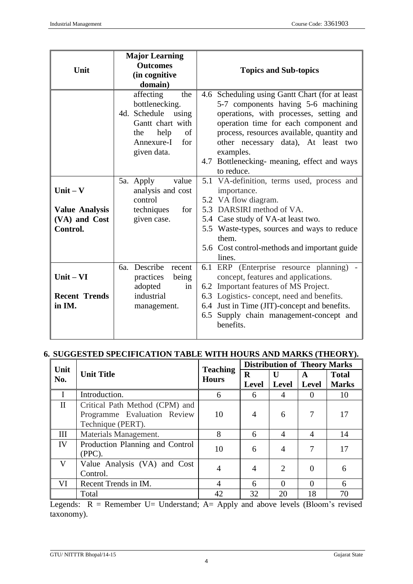| Unit                                                             | <b>Major Learning</b><br><b>Outcomes</b><br>(in cognitive<br>domain)                                                                                                                                                               | <b>Topics and Sub-topics</b>                                                                                                                                                                                                                                                                                                                                                                                                                                                                                                                    |
|------------------------------------------------------------------|------------------------------------------------------------------------------------------------------------------------------------------------------------------------------------------------------------------------------------|-------------------------------------------------------------------------------------------------------------------------------------------------------------------------------------------------------------------------------------------------------------------------------------------------------------------------------------------------------------------------------------------------------------------------------------------------------------------------------------------------------------------------------------------------|
| $Unit - V$<br><b>Value Analysis</b><br>(VA) and Cost<br>Control. | affecting<br>the<br>bottlenecking.<br>4d. Schedule<br>using<br>Gantt chart with<br>help<br>of<br>the<br>Annexure-I<br>for<br>given data.<br>5a. Apply<br>value<br>analysis and cost<br>control<br>techniques<br>for<br>given case. | 4.6 Scheduling using Gantt Chart (for at least<br>5-7 components having 5-6 machining<br>operations, with processes, setting and<br>operation time for each component and<br>process, resources available, quantity and<br>other necessary data), At least two<br>examples.<br>4.7 Bottlenecking- meaning, effect and ways<br>to reduce.<br>5.1 VA-definition, terms used, process and<br>importance.<br>5.2 VA flow diagram.<br>5.3 DARSIRI method of VA.<br>5.4 Case study of VA-at least two.<br>5.5 Waste-types, sources and ways to reduce |
|                                                                  |                                                                                                                                                                                                                                    | them.<br>5.6 Cost control-methods and important guide<br>lines.                                                                                                                                                                                                                                                                                                                                                                                                                                                                                 |
| $Unit - VI$<br><b>Recent Trends</b><br>in IM.                    | 6a. Describe recent<br>practices<br>being<br>adopted<br>in<br>industrial<br>management.                                                                                                                                            | 6.1 ERP (Enterprise resource planning) -<br>concept, features and applications.<br>6.2 Important features of MS Project.<br>6.3 Logistics-concept, need and benefits.<br>6.4 Just in Time (JIT)-concept and benefits.<br>6.5 Supply chain management-concept and<br>benefits.                                                                                                                                                                                                                                                                   |

# **6. SUGGESTED SPECIFICATION TABLE WITH HOURS AND MARKS (THEORY).**

| Unit         |                                                                                    | <b>Teaching</b> | <b>Distribution of Theory Marks</b> |                       |                   |                              |
|--------------|------------------------------------------------------------------------------------|-----------------|-------------------------------------|-----------------------|-------------------|------------------------------|
| No.          | <b>Unit Title</b>                                                                  | <b>Hours</b>    | R<br><b>Level</b>                   | U<br><b>Level</b>     | A<br><b>Level</b> | <b>Total</b><br><b>Marks</b> |
| $\mathbf{I}$ | Introduction.                                                                      | 6               | 6                                   | 4                     | $\Omega$          | 10                           |
| $\mathbf{I}$ | Critical Path Method (CPM) and<br>Programme Evaluation Review<br>Technique (PERT). | 10              | $\overline{4}$                      | 6                     | 7                 | 17                           |
| Ш            | Materials Management.                                                              | 8               | 6                                   | 4                     | $\overline{A}$    | 14                           |
| IV           | Production Planning and Control<br>$(PPC)$ .                                       | 10              | 6                                   | 4                     | 7                 | 17                           |
| $\mathbf{V}$ | Value Analysis (VA) and Cost<br>Control.                                           | $\overline{4}$  | $\overline{4}$                      | $\mathcal{D}_{\cdot}$ | $\Omega$          | 6                            |
| VI           | Recent Trends in IM.                                                               | 4               | 6                                   | $\Omega$              | $\Omega$          | 6                            |
|              | Total                                                                              | 42              | 32                                  | 20                    | 18                | 70                           |

Legends:  $R =$  Remember U= Understand; A= Apply and above levels (Bloom's revised taxonomy).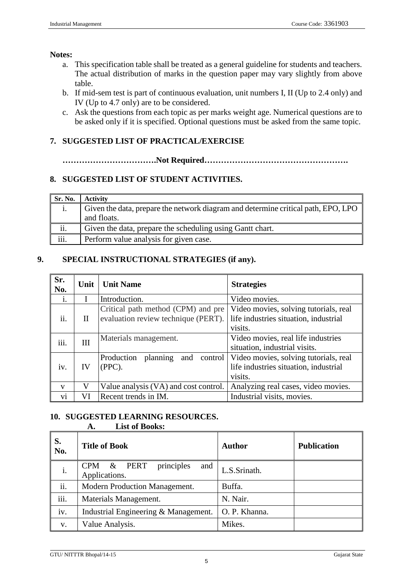#### **Notes:**

- a. This specification table shall be treated as a general guideline for students and teachers. The actual distribution of marks in the question paper may vary slightly from above table.
- b. If mid-sem test is part of continuous evaluation, unit numbers I, II (Up to 2.4 only) and IV (Up to 4.7 only) are to be considered.
- c. Ask the questions from each topic as per marks weight age. Numerical questions are to be asked only if it is specified. Optional questions must be asked from the same topic.

# **7. SUGGESTED LIST OF PRACTICAL/EXERCISE**

**…………………………….Not Required…………………………………………….**

# **8. SUGGESTED LIST OF STUDENT ACTIVITIES.**

| Sr. No.                   | <b>Activity</b>                                                                   |
|---------------------------|-----------------------------------------------------------------------------------|
|                           | Given the data, prepare the network diagram and determine critical path, EPO, LPO |
|                           | and floats.                                                                       |
| ii.                       | Given the data, prepare the scheduling using Gantt chart.                         |
| $\overline{\text{iii}}$ . | Perform value analysis for given case.                                            |

# **9. SPECIAL INSTRUCTIONAL STRATEGIES (if any).**

| Sr.<br>No.   | Unit | <b>Unit Name</b>                                                          | <b>Strategies</b>                                                                         |
|--------------|------|---------------------------------------------------------------------------|-------------------------------------------------------------------------------------------|
| 1.           |      | Introduction.                                                             | Video movies.                                                                             |
| ii.          | П    | Critical path method (CPM) and pre<br>evaluation review technique (PERT). | Video movies, solving tutorials, real<br>life industries situation, industrial<br>visits. |
| iii.         | Ш    | Materials management.                                                     | Video movies, real life industries<br>situation, industrial visits.                       |
| iv.          | IV   | Production<br>planning<br>and<br>control<br>$(PPC)$ .                     | Video movies, solving tutorials, real<br>life industries situation, industrial<br>visits. |
| $\mathbf{V}$ | V    | Value analysis (VA) and cost control.                                     | Analyzing real cases, video movies.                                                       |
| V1           | VI   | Recent trends in IM.                                                      | Industrial visits, movies.                                                                |

# **10. SUGGESTED LEARNING RESOURCES.**

#### **A. List of Books:**

| S.<br>No. | <b>Title of Book</b>                             | Author        | <b>Publication</b> |
|-----------|--------------------------------------------------|---------------|--------------------|
| i.        | principles<br>CPM & PERT<br>and<br>Applications. | L.S.Srinath.  |                    |
| ii.       | Modern Production Management.                    | Buffa.        |                    |
| iii.      | Materials Management.                            | N. Nair.      |                    |
| iv.       | Industrial Engineering & Management.             | O. P. Khanna. |                    |
| V.        | Value Analysis.                                  | Mikes.        |                    |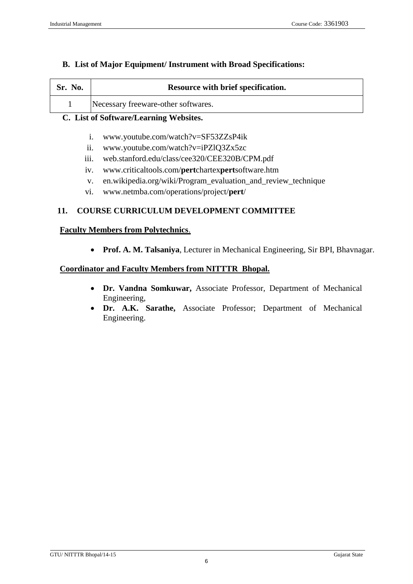### **B. List of Major Equipment/ Instrument with Broad Specifications:**

| Sr. No. | Resource with brief specification.  |
|---------|-------------------------------------|
|         | Necessary freeware-other softwares. |

# **C. List of Software/Learning Websites.**

- i. [www.youtube.com/watch?v=SF53ZZsP4ik](http://www.youtube.com/watch?v=SF53ZZsP4ik)
- ii. www.youtube.com/watch?v=iPZlQ3Zx5zc
- iii. web.stanford.edu/class/cee320/CEE320B/CPM.pdf
- iv. [www.criticaltools.com/](http://www.criticaltools.com/pertchartexpertsoftware.htm)**pert**chartex**pert**software.htm
- v. en.wikipedia.org/wiki/Program\_evaluation\_and\_review\_technique
- vi. [www.netmba.com/operations/project/](http://www.netmba.com/operations/project/pert/)**pert**/

# **11. COURSE CURRICULUM DEVELOPMENT COMMITTEE**

#### **Faculty Members from Polytechnics**.

**Prof. A. M. Talsaniya**, Lecturer in Mechanical Engineering, Sir BPI, Bhavnagar.

### **Coordinator and Faculty Members from NITTTR Bhopal.**

- **Dr. Vandna Somkuwar,** Associate Professor, Department of Mechanical Engineering,
- **Dr. A.K. Sarathe,** Associate Professor; Department of Mechanical Engineering.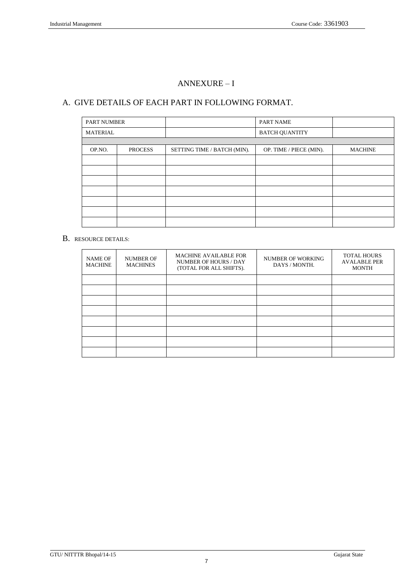# ANNEXURE – I

### A. GIVE DETAILS OF EACH PART IN FOLLOWING FORMAT.

| <b>PART NUMBER</b> |                |                             | <b>PART NAME</b>        |                |
|--------------------|----------------|-----------------------------|-------------------------|----------------|
| <b>MATERIAL</b>    |                |                             | <b>BATCH QUANTITY</b>   |                |
|                    |                |                             |                         |                |
| OP.NO.             | <b>PROCESS</b> | SETTING TIME / BATCH (MIN). | OP. TIME / PIECE (MIN). | <b>MACHINE</b> |
|                    |                |                             |                         |                |
|                    |                |                             |                         |                |
|                    |                |                             |                         |                |
|                    |                |                             |                         |                |
|                    |                |                             |                         |                |
|                    |                |                             |                         |                |
|                    |                |                             |                         |                |

#### B. RESOURCE DETAILS:

| <b>NAME OF</b><br><b>MACHINE</b> | <b>NUMBER OF</b><br><b>MACHINES</b> | <b>MACHINE AVAILABLE FOR</b><br><b>NUMBER OF HOURS / DAY</b><br>(TOTAL FOR ALL SHIFTS). | <b>NUMBER OF WORKING</b><br>DAYS / MONTH. | <b>TOTAL HOURS</b><br><b>AVALABLE PER</b><br><b>MONTH</b> |
|----------------------------------|-------------------------------------|-----------------------------------------------------------------------------------------|-------------------------------------------|-----------------------------------------------------------|
|                                  |                                     |                                                                                         |                                           |                                                           |
|                                  |                                     |                                                                                         |                                           |                                                           |
|                                  |                                     |                                                                                         |                                           |                                                           |
|                                  |                                     |                                                                                         |                                           |                                                           |
|                                  |                                     |                                                                                         |                                           |                                                           |
|                                  |                                     |                                                                                         |                                           |                                                           |
|                                  |                                     |                                                                                         |                                           |                                                           |
|                                  |                                     |                                                                                         |                                           |                                                           |